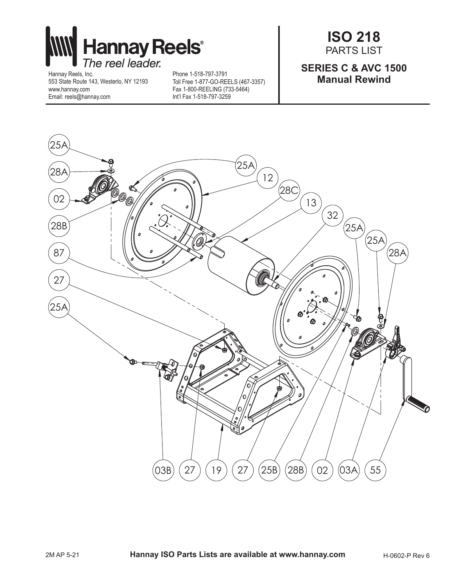

Hannay Reels, Inc. 553 State Route 143, Westerlo, NY 12193 www.hannay.com Email: reels@hannay.com

Phone 1-518-797-3791 Toll Free 1-877-GO-REELS (467-3357) Fax 1-800-REELING (733-5464) Int'l Fax 1-518-797-3259

**ISO 218** PARTS LIST

## **SERIES C & AVC 1500 Manual Rewind**